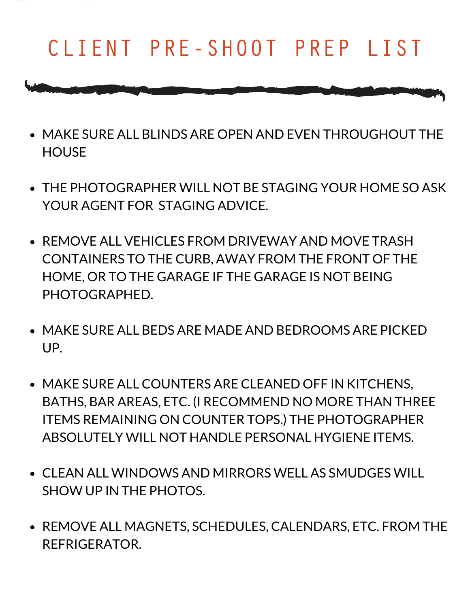## CLIENT PRE-SHOOT PREP LIST

**p y y**

- MAKE SURE ALL BLINDS ARE OPEN AND EVEN THROUGHOUT THE **HOUSE**
- THE PHOTOGRAPHER WILL NOT BE STAGING YOUR HOME SO ASK YOUR AGENT FOR STAGING ADVICE.
- REMOVE ALL VEHICLES FROM DRIVEWAY AND MOVE TRASH CONTAINERS TO THE CURB, AWAY FROM THE FRONT OF THE HOME, OR TO THE GARAGE IF THE GARAGE IS NOT BEING PHOTOGRAPHED.
- MAKE SURE ALL BEDS ARE MADE AND BEDROOMS ARE PICKED UP.
- MAKE SURE ALL COUNTERS ARE CLEANED OFF IN KITCHENS, BATHS, BAR AREAS, ETC. (I RECOMMEND NO MORE THAN THREE ITEMS REMAINING ON COUNTER TOPS.) THE PHOTOGRAPHER ABSOLUTELY WILL NOT HANDLE PERSONAL HYGIENE ITEMS.
- CLEAN ALL WINDOWS AND MIRRORS WELL AS SMUDGES WILL SHOW UP IN THE PHOTOS.
- REMOVE ALL MAGNETS, SCHEDULES, CALENDARS, ETC. FROM THE REFRIGERATOR.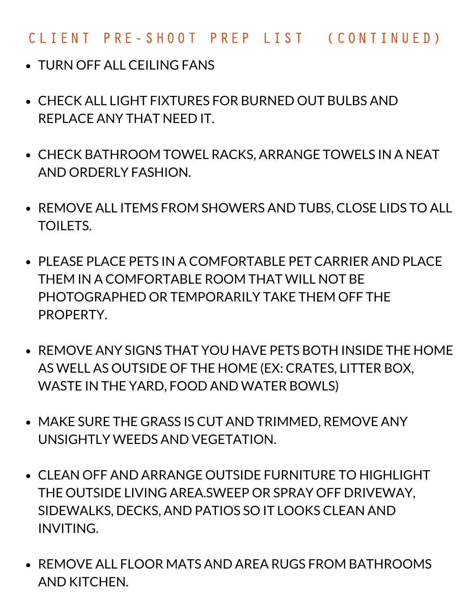## CLIENT PRE-SHOOT PREP LIST (CONTINUED)

- TURN OFF ALL CEILING FANS
- CHECK ALL LIGHT FIXTURES FOR BURNED OUT BULBS AND REPLACE ANY THAT NEED IT.
- CHECK BATHROOM TOWEL RACKS, ARRANGE TOWELS IN A NEAT AND ORDERLY FASHION.
- REMOVE ALL ITEMS FROM SHOWERS AND TUBS, CLOSE LIDS TO ALL TOILETS.
- PLEASE PLACE PETS IN A COMFORTABLE PET CARRIER AND PLACE THEM IN A COMFORTABLE ROOM THAT WILL NOT BE PHOTOGRAPHED OR TEMPORARILY TAKE THEM OFF THE PROPERTY.
- REMOVE ANY SIGNS THAT YOU HAVE PETS BOTH INSIDE THE HOME AS WELL AS OUTSIDE OF THE HOME (EX: CRATES, LITTER BOX, WASTE IN THE YARD, FOOD AND WATER BOWLS)
- MAKE SURE THE GRASS IS CUT AND TRIMMED, REMOVE ANY UNSIGHTLY WEEDS AND VEGETATION.
- CLEAN OFF AND ARRANGE OUTSIDE FURNITURE TO HIGHLIGHT THE OUTSIDE LIVING AREA.SWEEP OR SPRAY OFF DRIVEWAY, SIDEWALKS, DECKS, AND PATIOS SO IT LOOKS CLEAN AND INVITING.
- REMOVE ALL FLOOR MATS AND AREA RUGS FROM BATHROOMS AND KITCHEN.